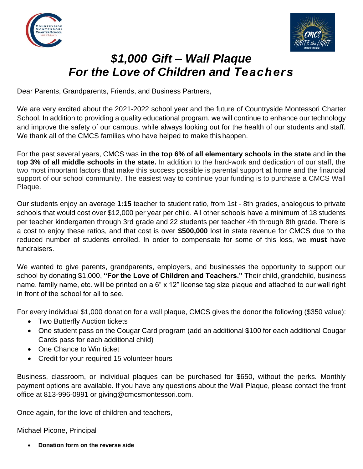



## *\$1,000 Gift – Wall Plaque For the Love of Children and Teachers*

Dear Parents, Grandparents, Friends, and Business Partners,

We are very excited about the 2021-2022 school year and the future of Countryside Montessori Charter School. In addition to providing a quality educational program, we will continue to enhance our technology and improve the safety of our campus, while always looking out for the health of our students and staff. We thank all of the CMCS families who have helped to make this happen.

For the past several years, CMCS was **in the top 6% of all elementary schools in the state** and **in the top 3% of all middle schools in the state.** In addition to the hard-work and dedication of our staff, the two most important factors that make this success possible is parental support at home and the financial support of our school community. The easiest way to continue your funding is to purchase a CMCS Wall Plaque.

Our students enjoy an average **1:15** teacher to student ratio, from 1st - 8th grades, analogous to private schools that would cost over \$12,000 per year per child. All other schools have a minimum of 18 students per teacher kindergarten through 3rd grade and 22 students per teacher 4th through 8th grade. There is a cost to enjoy these ratios, and that cost is over **\$500,000** lost in state revenue for CMCS due to the reduced number of students enrolled. In order to compensate for some of this loss, we **must** have fundraisers.

We wanted to give parents, grandparents, employers, and businesses the opportunity to support our school by donating \$1,000, **"For the Love of Children and Teachers."** Their child, grandchild, business name, family name, etc. will be printed on a 6" x 12" license tag size plaque and attached to our wall right in front of the school for all to see.

For every individual \$1,000 donation for a wall plaque, CMCS gives the donor the following (\$350 value):

- Two Butterfly Auction tickets
- One student pass on the Cougar Card program (add an additional \$100 for each additional Cougar Cards pass for each additional child)
- One Chance to Win ticket
- Credit for your required 15 volunteer hours

Business, classroom, or individual plaques can be purchased for \$650, without the perks. Monthly payment options are available. If you have any questions about the Wall Plaque, please contact the front office at 813-996-0991 or giving@cmcsmontessori.com.

Once again, for the love of children and teachers,

Michael Picone, Principal

• **Donation form on the reverse side**